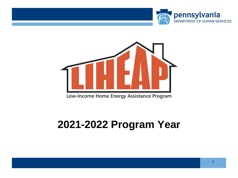



Low-Income Home Energy Assistance Program

### **2021-2022 Program Year**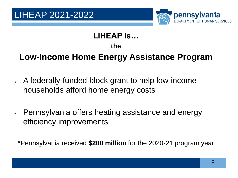



#### **LIHEAP is…**

**the**

#### **Low-Income Home Energy Assistance Program**

- A federally-funded block grant to help low-income households afford home energy costs
- Pennsylvania offers heating assistance and energy efficiency improvements

**\***Pennsylvania received **\$200 million** for the 2020-21 program year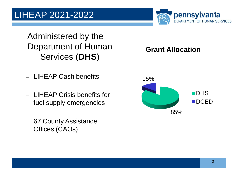#### LIHEAP 2021-2022



Administered by the Department of Human Services (**DHS**)

- − LIHEAP Cash benefits
- − LIHEAP Crisis benefits for fuel supply emergencies
- − 67 County Assistance Offices (CAOs)

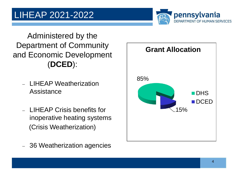

Administered by the Department of Community and Economic Development (**DCED**):

- − LIHEAP Weatherization Assistance
- − LIHEAP Crisis benefits for inoperative heating systems (Crisis Weatherization)

− 36 Weatherization agencies

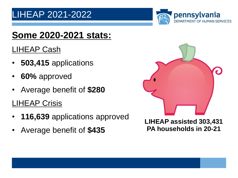

#### **Some 2020-2021 stats:**

#### LIHEAP Cash

- **503,415** applications
- **60%** approved
- Average benefit of **\$280**
- LIHEAP Crisis
- **116,639** applications approved
- Average benefit of **\$435**

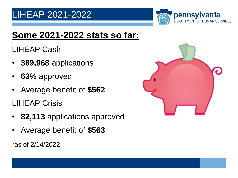#### LIHEAP 2021-2022

![](_page_5_Picture_1.jpeg)

#### **Some 2021-2022 stats so far:**

#### LIHEAP Cash

- **389,968** applications
- **63%** approved
- Average benefit of **\$562**
- LIHEAP Crisis
- **82,113** applications approved
- Average benefit of **\$563**

\*as of 2/14/2022

![](_page_5_Picture_11.jpeg)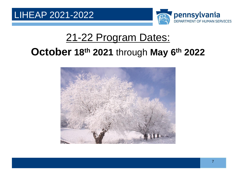![](_page_6_Picture_1.jpeg)

### 21-22 Program Dates: **October 18th 2021** through **May 6th 2022**

![](_page_6_Picture_3.jpeg)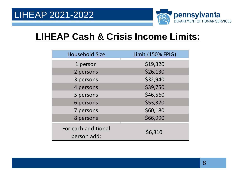![](_page_7_Picture_1.jpeg)

#### **LIHEAP Cash & Crisis Income Limits:**

| <b>Household Size</b>              | Limit (150% FPIG) |
|------------------------------------|-------------------|
| 1 person                           | \$19,320          |
| 2 persons                          | \$26,130          |
| 3 persons                          | \$32,940          |
| 4 persons                          | \$39,750          |
| 5 persons                          | \$46,560          |
| 6 persons                          | \$53,370          |
| 7 persons                          | \$60,180          |
| 8 persons                          | \$66,990          |
| For each additional<br>person add: | \$6,810           |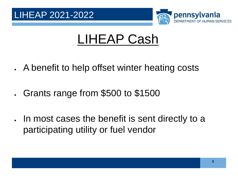![](_page_8_Picture_0.jpeg)

![](_page_8_Picture_1.jpeg)

## LIHEAP Cash

- A benefit to help offset winter heating costs
- Grants range from \$500 to \$1500
- In most cases the benefit is sent directly to a participating utility or fuel vendor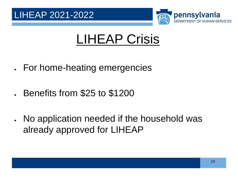![](_page_9_Picture_0.jpeg)

![](_page_9_Picture_1.jpeg)

## LIHEAP Crisis

- For home-heating emergencies
- Benefits from \$25 to \$1200
- No application needed if the household was already approved for LIHEAP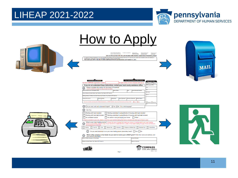#### LIHEAP 2021-2022

![](_page_10_Picture_1.jpeg)

| <b>The Contract Contract Contract Contract</b> | How to Apply<br>$\begin{array}{lll} \mbox{elementability of a } & \mbox{otherwise} \ \mbox{a} \ \mbox{a} \ \mbox{a} \ \mbox{a} \ \mbox{b} \ \mbox{c} \ \mbox{c} \ \mbox{c} \ \mbox{c} \ \mbox{c} \ \mbox{d} \ \mbox{c} \ \mbox{d} \ \mbox{e} \ \mbox{d} \ \mbox{e} \ \mbox{e} \ \mbox{e} \ \mbox{e} \ \mbox{e} \ \mbox{e} \ \mbox{e} \ \mbox{e} \ \mbox{e} \ \mbox{e} \ \mbox{e} \ \mbox{e} \ \mbox{e}$<br>we channel state were<br><b>HENRICK ROLL BURGERS</b><br>an programo de solvitorei a<br>para al pago de anongia<br>2021-22 APPLICATION FOR THE LOW INCOME HOME ENERGY ASSISTANCE PROGRAM (LIHEAP)<br>To apply for Energy Assistance, you must complete all questions front and back and sign at the red "X". Be sure your correct and complete name and address is<br>entered below. If incorrect, cross out and PRINT correctly in space provided below.<br>YOU CAN ALSO APPLY ONLINE AT WWW.COMPASS.STATE.PA.US BEGINNING SEPTEMBER 13, 2021.                                                                                                                                                                                                                                                                                                                                                                                                                                                                                                                                                                                                                                                                                                                                                                                                                                                                                                                                                                                                                                                                                                                                                                                                                                                                                                                                                                                                            | MAIL |
|------------------------------------------------|----------------------------------------------------------------------------------------------------------------------------------------------------------------------------------------------------------------------------------------------------------------------------------------------------------------------------------------------------------------------------------------------------------------------------------------------------------------------------------------------------------------------------------------------------------------------------------------------------------------------------------------------------------------------------------------------------------------------------------------------------------------------------------------------------------------------------------------------------------------------------------------------------------------------------------------------------------------------------------------------------------------------------------------------------------------------------------------------------------------------------------------------------------------------------------------------------------------------------------------------------------------------------------------------------------------------------------------------------------------------------------------------------------------------------------------------------------------------------------------------------------------------------------------------------------------------------------------------------------------------------------------------------------------------------------------------------------------------------------------------------------------------------------------------------------------------------------------------------------------------------------------------------------------------------------------------------------------------------------------------------------------------------------------------------------------------------------------------------------------------------------------------------------------------------------------------------------------------------------------------------------------------------------------------------------------------------------------------------------------------|------|
|                                                | <b>YOUR NAME AND ADDRESS</b><br>Your county assistance office address<br>DHS USE ONLY<br>Use this COMPASS registration number<br>to apply online at www.compass.state.pa.us.<br>$\Box$ CRISIS $\Box$ CASH<br>If you do not understand these instructions, contact your local county assistance office.<br><b>Will Secondary Market</b><br>Please complete this section for the head of household.<br>*Use the codes from page 2 to help provide the details<br>Name (Include Last, First Middle Initial)<br>dal Security Numbe<br>ome Address (Include Street, Apt. Number, City, State & ZIP Code+4)<br>iling Address if different (Include Street, Apt. Number, City, State & ZIP Code+4)<br>County You Live In<br><b>Marital Status'</b><br>one Numbe<br>tace (Optional)<br><b>Imicity (Optional)*</b><br>If you are currently receiving Cash, Medical Assistance, or SNAP benefits, may we use the income you have on file? [7] Yes [7] No<br>□ Rejected □ Approved<br>Do you read, write and understand English?  L Yes  L No If no, what language?<br>Are You:<br>Renting with heat included<br>Renting subsidized housing/Section 8 housing with heat included<br>Renting with heat not included<br>Renting subsidized housing/Section 8 housing with heat not included<br>An unrelated roomer<br>An owner or are you buying your home Other:<br>If heat is included in your rent, attach a note from your landlord stating that heat is included and what type of heat is used.<br>What is your main heating source? Choose the type of energy that heats your home or is being used if your main heating<br>source is not working. Attach a copy of your last bill or a statement from a utility or fuel dealer stating the type of fuel and that you<br>are accepted as a customer<br>Electric Fuel Oil   Coal   Natural Gas   Kerosene   Propane or Bottled Gas   Blended Fuel   Wood/Other<br>Do you need electricity to run your main heating source (secondary heat)? Yes No<br>Which utility company or fuel dealer do you want to receive your LIHEAP grant? Write their name and address, and<br>your account information.<br>Name of Utility Company or Fuel Dealer<br>count Number<br>ddress (Indude Street, City, State & ZIP Code+4)<br><b>Vame on Account</b><br><b>COMPASS</b><br>TUHEAP<br>CLICK. APPLY. BENEFIT.<br>HSEA 1.1 6/21<br>Page 1 |      |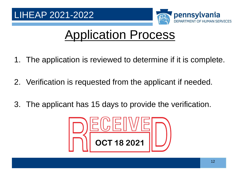![](_page_11_Picture_1.jpeg)

### Application Process

- 1. The application is reviewed to determine if it is complete.
- 2. Verification is requested from the applicant if needed.
- 3. The applicant has 15 days to provide the verification.

![](_page_11_Picture_6.jpeg)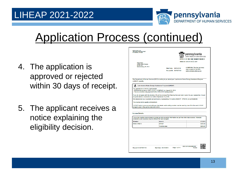![](_page_12_Picture_1.jpeg)

### Application Process (continued)

- 4. The application is approved or rejected within 30 days of receipt.
- 5. The applicant receives a notice explaining the eligibility decision.

| Notice ID: 9001241035   C:2051<br>Pnkyi Pnkyi<br><b>Liheap August Release</b><br>Do Not Use<br>Mechanicsburg, PA 17011<br>Mail Date: 08/15/2018<br>Record ID: 03/7927130<br>The Department of Human Services (DHS) is writing to you about your Low-Income Home Energy Assistance Program<br>(LIHEAP) benefits.<br>Low-Income Home Energy Assistance Program (LIHEAP)<br>You qualify for a LIHEAP Cash Benefit:<br>- \$788.00 will be sent to TEST UTILITY COMPANY on August 22, 2018.<br>- This is a one-time only payment for the 2018-2019 heating season.<br>If you do not agree with this decision, fill out the enclosed Fair Hearing form and mail or give it to your caseworker. It must<br>be postmarked or received on or before September 14, 2018.<br>We determined your countable annual income, representing 12 months (08/2017 - 07/2018), to be \$1,920.00.<br>The income limit to qualify is \$30,630,00.<br>LIHEAP funds in your account with your fuel dealer and/or utility provider must be used by June 30 of the next LIHEAP<br>program year or they will be returned to DHS. | <b>OFFICE OF INCOME MAINTENANCE</b><br><b>COMPASS: The fast and easy</b><br>way to apply for benefits<br>www.compass.state.pa.us |
|------------------------------------------------------------------------------------------------------------------------------------------------------------------------------------------------------------------------------------------------------------------------------------------------------------------------------------------------------------------------------------------------------------------------------------------------------------------------------------------------------------------------------------------------------------------------------------------------------------------------------------------------------------------------------------------------------------------------------------------------------------------------------------------------------------------------------------------------------------------------------------------------------------------------------------------------------------------------------------------------------------------------------------------------------------------------------------------------------|----------------------------------------------------------------------------------------------------------------------------------|
|                                                                                                                                                                                                                                                                                                                                                                                                                                                                                                                                                                                                                                                                                                                                                                                                                                                                                                                                                                                                                                                                                                      |                                                                                                                                  |
|                                                                                                                                                                                                                                                                                                                                                                                                                                                                                                                                                                                                                                                                                                                                                                                                                                                                                                                                                                                                                                                                                                      |                                                                                                                                  |
|                                                                                                                                                                                                                                                                                                                                                                                                                                                                                                                                                                                                                                                                                                                                                                                                                                                                                                                                                                                                                                                                                                      |                                                                                                                                  |
|                                                                                                                                                                                                                                                                                                                                                                                                                                                                                                                                                                                                                                                                                                                                                                                                                                                                                                                                                                                                                                                                                                      |                                                                                                                                  |
|                                                                                                                                                                                                                                                                                                                                                                                                                                                                                                                                                                                                                                                                                                                                                                                                                                                                                                                                                                                                                                                                                                      |                                                                                                                                  |
|                                                                                                                                                                                                                                                                                                                                                                                                                                                                                                                                                                                                                                                                                                                                                                                                                                                                                                                                                                                                                                                                                                      |                                                                                                                                  |
|                                                                                                                                                                                                                                                                                                                                                                                                                                                                                                                                                                                                                                                                                                                                                                                                                                                                                                                                                                                                                                                                                                      |                                                                                                                                  |
| <b>Income Details</b>                                                                                                                                                                                                                                                                                                                                                                                                                                                                                                                                                                                                                                                                                                                                                                                                                                                                                                                                                                                                                                                                                |                                                                                                                                  |
| This is the monthly income based on what you told us and/or information we got from other data sources. Allowable<br>deductions and expenses may be different for each program.                                                                                                                                                                                                                                                                                                                                                                                                                                                                                                                                                                                                                                                                                                                                                                                                                                                                                                                      |                                                                                                                                  |
| <b>Member</b><br><b>Source</b>                                                                                                                                                                                                                                                                                                                                                                                                                                                                                                                                                                                                                                                                                                                                                                                                                                                                                                                                                                                                                                                                       | 07/2018                                                                                                                          |
| <b>PNKYI PNKYI</b>                                                                                                                                                                                                                                                                                                                                                                                                                                                                                                                                                                                                                                                                                                                                                                                                                                                                                                                                                                                                                                                                                   | <b>GEHGE</b><br>\$200.00                                                                                                         |
|                                                                                                                                                                                                                                                                                                                                                                                                                                                                                                                                                                                                                                                                                                                                                                                                                                                                                                                                                                                                                                                                                                      | <b>Total Income</b><br>\$200.00                                                                                                  |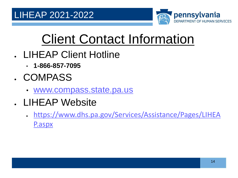![](_page_13_Picture_1.jpeg)

# Client Contact Information

- LIHEAP Client Hotline
	- **1-866-857-7095**
- COMPASS
	- [www.compass.state.pa.us](http://www.compass.state.pa.us/)
- LIHEAP Website
	- [https://www.dhs.pa.gov/Services/Assistance/Pages/LIHEA](https://www.dhs.pa.gov/Services/Assistance/Pages/LIHEAP.aspx) P.aspx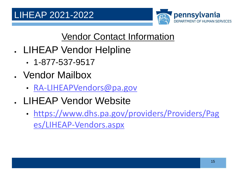![](_page_14_Picture_1.jpeg)

#### Vendor Contact Information

- LIHEAP Vendor Helpline
	- 1-877-537-9517
- Vendor Mailbox
	- [RA-LIHEAPVendors@pa.gov](mailto:RA-LIHEAPVendors@pa.gov)
- LIHEAP Vendor Website
	- [https://www.dhs.pa.gov/providers/Providers/Pag](https://www.dhs.pa.gov/providers/Providers/Pages/LIHEAP-Vendors.aspx) es/LIHEAP-Vendors.aspx